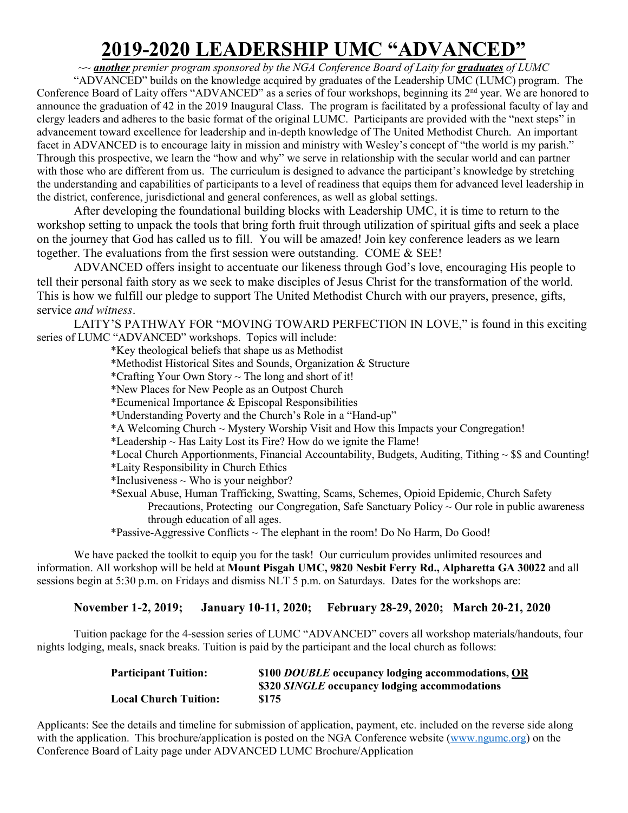## **2019-2020 LEADERSHIP UMC "ADVANCED"**

*~~ another premier program sponsored by the NGA Conference Board of Laity for graduates of LUMC*

"ADVANCED" builds on the knowledge acquired by graduates of the Leadership UMC (LUMC) program. The Conference Board of Laity offers "ADVANCED" as a series of four workshops, beginning its 2nd year. We are honored to announce the graduation of 42 in the 2019 Inaugural Class. The program is facilitated by a professional faculty of lay and clergy leaders and adheres to the basic format of the original LUMC. Participants are provided with the "next steps" in advancement toward excellence for leadership and in-depth knowledge of The United Methodist Church. An important facet in ADVANCED is to encourage laity in mission and ministry with Wesley's concept of "the world is my parish." Through this prospective, we learn the "how and why" we serve in relationship with the secular world and can partner with those who are different from us. The curriculum is designed to advance the participant's knowledge by stretching the understanding and capabilities of participants to a level of readiness that equips them for advanced level leadership in the district, conference, jurisdictional and general conferences, as well as global settings.

After developing the foundational building blocks with Leadership UMC, it is time to return to the workshop setting to unpack the tools that bring forth fruit through utilization of spiritual gifts and seek a place on the journey that God has called us to fill. You will be amazed! Join key conference leaders as we learn together. The evaluations from the first session were outstanding. COME & SEE!

ADVANCED offers insight to accentuate our likeness through God's love, encouraging His people to tell their personal faith story as we seek to make disciples of Jesus Christ for the transformation of the world. This is how we fulfill our pledge to support The United Methodist Church with our prayers, presence, gifts, service *and witness*.

LAITY'S PATHWAY FOR "MOVING TOWARD PERFECTION IN LOVE," is found in this exciting series of LUMC "ADVANCED" workshops. Topics will include:

\*Key theological beliefs that shape us as Methodist

- \*Methodist Historical Sites and Sounds, Organization & Structure
- \*Crafting Your Own Story  $\sim$  The long and short of it!
- \*New Places for New People as an Outpost Church
- \*Ecumenical Importance & Episcopal Responsibilities
- \*Understanding Poverty and the Church's Role in a "Hand-up"
- \*A Welcoming Church ~ Mystery Worship Visit and How this Impacts your Congregation!
- \*Leadership  $\sim$  Has Laity Lost its Fire? How do we ignite the Flame!
- \*Local Church Apportionments, Financial Accountability, Budgets, Auditing, Tithing  $\sim$  \$\$ and Counting!
- \*Laity Responsibility in Church Ethics
- \*Inclusiveness  $\sim$  Who is your neighbor?
- \*Sexual Abuse, Human Trafficking, Swatting, Scams, Schemes, Opioid Epidemic, Church Safety Precautions, Protecting our Congregation, Safe Sanctuary Policy  $\sim$  Our role in public awareness through education of all ages.

\*Passive-Aggressive Conflicts  $\sim$  The elephant in the room! Do No Harm, Do Good!

We have packed the toolkit to equip you for the task! Our curriculum provides unlimited resources and information. All workshop will be held at **Mount Pisgah UMC, 9820 Nesbit Ferry Rd., Alpharetta GA 30022** and all sessions begin at 5:30 p.m. on Fridays and dismiss NLT 5 p.m. on Saturdays. Dates for the workshops are:

**November 1-2, 2019; January 10-11, 2020; February 28-29, 2020; March 20-21, 2020** 

Tuition package for the 4-session series of LUMC "ADVANCED" covers all workshop materials/handouts, four nights lodging, meals, snack breaks. Tuition is paid by the participant and the local church as follows:

| <b>Participant Tuition:</b>  | \$100 DOUBLE occupancy lodging accommodations, OR |
|------------------------------|---------------------------------------------------|
|                              | \$320 SINGLE occupancy lodging accommodations     |
| <b>Local Church Tuition:</b> | \$175                                             |

Applicants: See the details and timeline for submission of application, payment, etc. included on the reverse side along with the application. This brochure/application is posted on the NGA Conference website [\(www.ngumc.org\)](http://www.ngumc.org/) on the Conference Board of Laity page under ADVANCED LUMC Brochure/Application